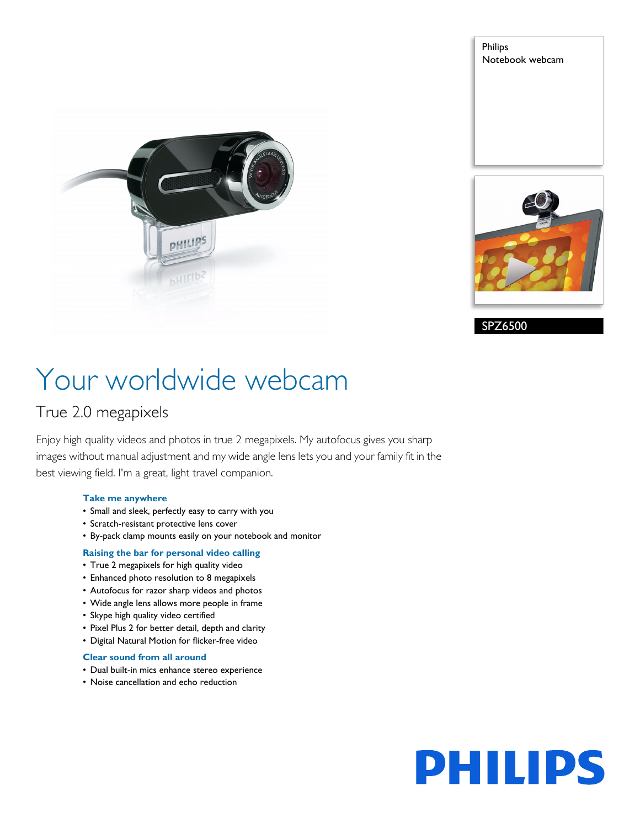

Philips Notebook webcam



SPZ6500

# Your worldwide webcam

### True 2.0 megapixels

Enjoy high quality videos and photos in true 2 megapixels. My autofocus gives you sharp images without manual adjustment and my wide angle lens lets you and your family fit in the best viewing field. I'm a great, light travel companion.

#### **Take me anywhere**

- Small and sleek, perfectly easy to carry with you
- Scratch-resistant protective lens cover
- By-pack clamp mounts easily on your notebook and monitor

#### **Raising the bar for personal video calling**

- True 2 megapixels for high quality video
- Enhanced photo resolution to 8 megapixels
- Autofocus for razor sharp videos and photos
- Wide angle lens allows more people in frame
- Skype high quality video certified
- Pixel Plus 2 for better detail, depth and clarity
- Digital Natural Motion for flicker-free video

#### **Clear sound from all around**

- Dual built-in mics enhance stereo experience
- Noise cancellation and echo reduction